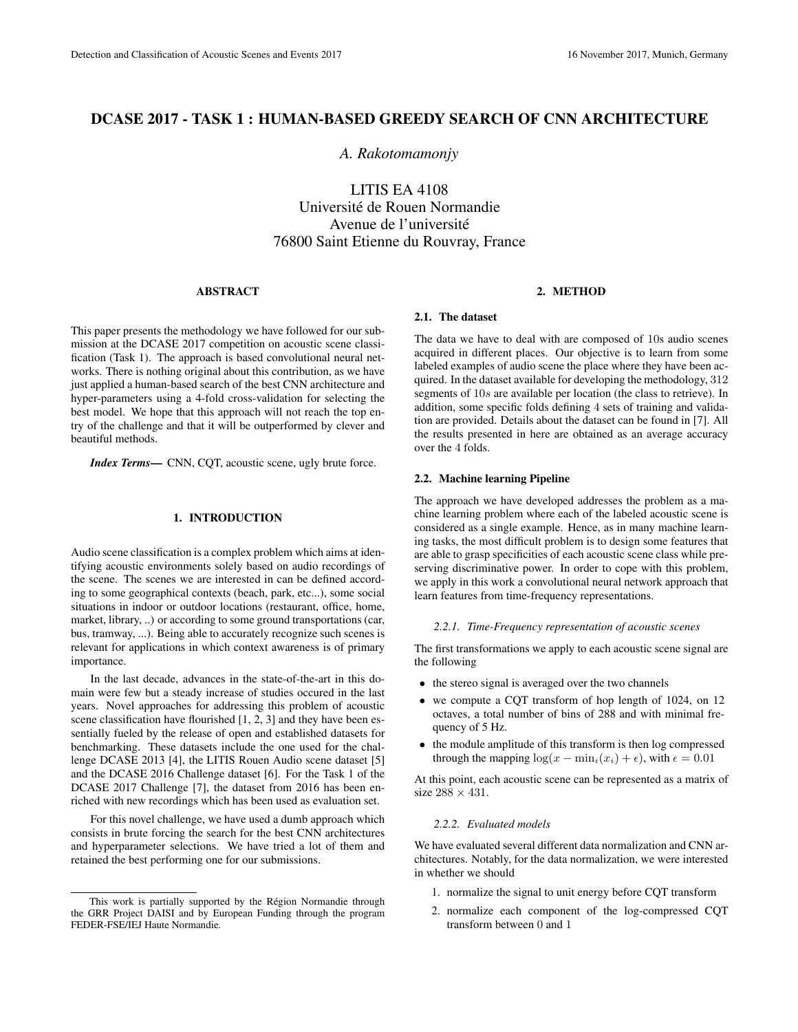# DCASE 2017 - TASK 1 : HUMAN-BASED GREEDY SEARCH OF CNN ARCHITECTURE

*A. Rakotomamonjy*

LITIS EA 4108 Universite de Rouen Normandie ´ Avenue de l'université 76800 Saint Etienne du Rouvray, France

#### ABSTRACT

This paper presents the methodology we have followed for our submission at the DCASE 2017 competition on acoustic scene classification (Task 1). The approach is based convolutional neural networks. There is nothing original about this contribution, as we have just applied a human-based search of the best CNN architecture and hyper-parameters using a 4-fold cross-validation for selecting the best model. We hope that this approach will not reach the top entry of the challenge and that it will be outperformed by clever and beautiful methods.

*Index Terms*— CNN, CQT, acoustic scene, ugly brute force.

# 1. INTRODUCTION

Audio scene classification is a complex problem which aims at identifying acoustic environments solely based on audio recordings of the scene. The scenes we are interested in can be defined according to some geographical contexts (beach, park, etc...), some social situations in indoor or outdoor locations (restaurant, office, home, market, library, ..) or according to some ground transportations (car, bus, tramway, ...). Being able to accurately recognize such scenes is relevant for applications in which context awareness is of primary importance.

In the last decade, advances in the state-of-the-art in this domain were few but a steady increase of studies occured in the last years. Novel approaches for addressing this problem of acoustic scene classification have flourished [1, 2, 3] and they have been essentially fueled by the release of open and established datasets for benchmarking. These datasets include the one used for the challenge DCASE 2013 [4], the LITIS Rouen Audio scene dataset [5] and the DCASE 2016 Challenge dataset [6]. For the Task 1 of the DCASE 2017 Challenge [7], the dataset from 2016 has been enriched with new recordings which has been used as evaluation set.

For this novel challenge, we have used a dumb approach which consists in brute forcing the search for the best CNN architectures and hyperparameter selections. We have tried a lot of them and retained the best performing one for our submissions.

#### 2. METHOD

### 2.1. The dataset

The data we have to deal with are composed of 10s audio scenes acquired in different places. Our objective is to learn from some labeled examples of audio scene the place where they have been acquired. In the dataset available for developing the methodology, 312 segments of 10s are available per location (the class to retrieve). In addition, some specific folds defining 4 sets of training and validation are provided. Details about the dataset can be found in [7]. All the results presented in here are obtained as an average accuracy over the 4 folds.

## 2.2. Machine learning Pipeline

The approach we have developed addresses the problem as a machine learning problem where each of the labeled acoustic scene is considered as a single example. Hence, as in many machine learning tasks, the most difficult problem is to design some features that are able to grasp specificities of each acoustic scene class while preserving discriminative power. In order to cope with this problem, we apply in this work a convolutional neural network approach that learn features from time-frequency representations.

#### *2.2.1. Time-Frequency representation of acoustic scenes*

The first transformations we apply to each acoustic scene signal are the following

- the stereo signal is averaged over the two channels
- we compute a CQT transform of hop length of 1024, on 12 octaves, a total number of bins of 288 and with minimal frequency of 5 Hz.
- the module amplitude of this transform is then log compressed through the mapping  $\log(x - \min_i(x_i) + \epsilon)$ , with  $\epsilon = 0.01$

At this point, each acoustic scene can be represented as a matrix of size  $288 \times 431$ .

## *2.2.2. Evaluated models*

We have evaluated several different data normalization and CNN architectures. Notably, for the data normalization, we were interested in whether we should

- 1. normalize the signal to unit energy before CQT transform
- 2. normalize each component of the log-compressed CQT transform between 0 and 1

This work is partially supported by the Région Normandie through the GRR Project DAISI and by European Funding through the program FEDER-FSE/IEJ Haute Normandie.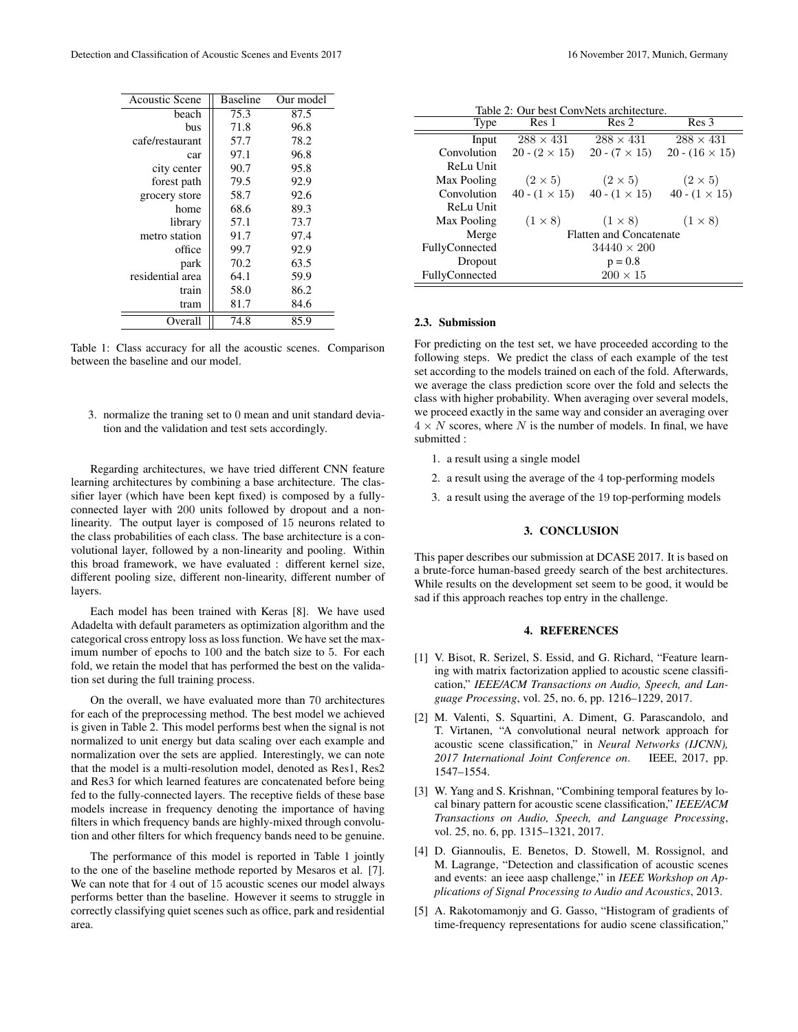| <b>Acoustic Scene</b> | <b>Baseline</b> | Our model |
|-----------------------|-----------------|-----------|
| beach                 | 75.3            | 87.5      |
| bus                   | 71.8            | 96.8      |
| cafe/restaurant       | 57.7            | 78.2      |
| car                   | 97.1            | 96.8      |
| city center           | 90.7            | 95.8      |
| forest path           | 79.5            | 92.9      |
| grocery store         | 58.7            | 92.6      |
| home                  | 68.6            | 89.3      |
| library               | 57.1            | 73.7      |
| metro station         | 91.7            | 97.4      |
| office                | 99.7            | 92.9      |
| park                  | 70.2            | 63.5      |
| residential area      | 64.1            | 59.9      |
| train                 | 58.0            | 86.2      |
| tram                  | 81.7            | 84.6      |
| Overall               | 74.8            | 85.9      |

Table 1: Class accuracy for all the acoustic scenes. Comparison between the baseline and our model.

3. normalize the traning set to 0 mean and unit standard deviation and the validation and test sets accordingly.

Regarding architectures, we have tried different CNN feature learning architectures by combining a base architecture. The classifier layer (which have been kept fixed) is composed by a fullyconnected layer with 200 units followed by dropout and a nonlinearity. The output layer is composed of 15 neurons related to the class probabilities of each class. The base architecture is a convolutional layer, followed by a non-linearity and pooling. Within this broad framework, we have evaluated : different kernel size, different pooling size, different non-linearity, different number of layers.

Each model has been trained with Keras [8]. We have used Adadelta with default parameters as optimization algorithm and the categorical cross entropy loss as loss function. We have set the maximum number of epochs to 100 and the batch size to 5. For each fold, we retain the model that has performed the best on the validation set during the full training process.

On the overall, we have evaluated more than 70 architectures for each of the preprocessing method. The best model we achieved is given in Table 2. This model performs best when the signal is not normalized to unit energy but data scaling over each example and normalization over the sets are applied. Interestingly, we can note that the model is a multi-resolution model, denoted as Res1, Res2 and Res3 for which learned features are concatenated before being fed to the fully-connected layers. The receptive fields of these base models increase in frequency denoting the importance of having filters in which frequency bands are highly-mixed through convolution and other filters for which frequency bands need to be genuine.

The performance of this model is reported in Table 1 jointly to the one of the baseline methode reported by Mesaros et al. [7]. We can note that for 4 out of 15 acoustic scenes our model always performs better than the baseline. However it seems to struggle in correctly classifying quiet scenes such as office, park and residential area.

| Table 2: Our best ConvNets architecture. |                                |                                           |                       |  |
|------------------------------------------|--------------------------------|-------------------------------------------|-----------------------|--|
| Type                                     | Res 1                          | Res <sub>2</sub>                          | Res 3                 |  |
| Input                                    | $288 \times 431$               | $288 \times 431$                          | $288 \times 431$      |  |
| Convolution                              | $20 - (2 \times 15)$           | $20 - (7 \times 15)$                      | $20 - (16 \times 15)$ |  |
| ReLu Unit                                |                                |                                           |                       |  |
| Max Pooling                              | $(2 \times 5)$                 | $(2 \times 5)$                            | $(2 \times 5)$        |  |
| Convolution                              |                                | $40 - (1 \times 15)$ $40 - (1 \times 15)$ | 40 - $(1 \times 15)$  |  |
| ReLu Unit                                |                                |                                           |                       |  |
| Max Pooling                              | $(1\times 8)$                  | $(1 \times 8)$                            | $(1\times 8)$         |  |
| Merge                                    | <b>Flatten and Concatenate</b> |                                           |                       |  |
| FullyConnected                           | $34440 \times 200$             |                                           |                       |  |
| Dropout                                  | $p = 0.8$                      |                                           |                       |  |
| FullyConnected                           | $200 \times 15$                |                                           |                       |  |

### 2.3. Submission

For predicting on the test set, we have proceeded according to the following steps. We predict the class of each example of the test set according to the models trained on each of the fold. Afterwards, we average the class prediction score over the fold and selects the class with higher probability. When averaging over several models, we proceed exactly in the same way and consider an averaging over  $4 \times N$  scores, where N is the number of models. In final, we have submitted :

- 1. a result using a single model
- 2. a result using the average of the 4 top-performing models
- 3. a result using the average of the 19 top-performing models

# 3. CONCLUSION

This paper describes our submission at DCASE 2017. It is based on a brute-force human-based greedy search of the best architectures. While results on the development set seem to be good, it would be sad if this approach reaches top entry in the challenge.

### 4. REFERENCES

- [1] V. Bisot, R. Serizel, S. Essid, and G. Richard, "Feature learning with matrix factorization applied to acoustic scene classification," *IEEE/ACM Transactions on Audio, Speech, and Language Processing*, vol. 25, no. 6, pp. 1216–1229, 2017.
- [2] M. Valenti, S. Squartini, A. Diment, G. Parascandolo, and T. Virtanen, "A convolutional neural network approach for acoustic scene classification," in *Neural Networks (IJCNN), 2017 International Joint Conference on*. IEEE, 2017, pp. 1547–1554.
- [3] W. Yang and S. Krishnan, "Combining temporal features by local binary pattern for acoustic scene classification," *IEEE/ACM Transactions on Audio, Speech, and Language Processing*, vol. 25, no. 6, pp. 1315–1321, 2017.
- [4] D. Giannoulis, E. Benetos, D. Stowell, M. Rossignol, and M. Lagrange, "Detection and classification of acoustic scenes and events: an ieee aasp challenge," in *IEEE Workshop on Applications of Signal Processing to Audio and Acoustics*, 2013.
- [5] A. Rakotomamonjy and G. Gasso, "Histogram of gradients of time-frequency representations for audio scene classification,"